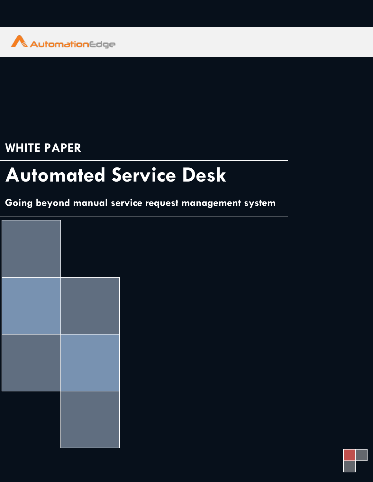

## **WHITE PAPER**

# **Automated Service Desk**

### **Going beyond manual service request management system**

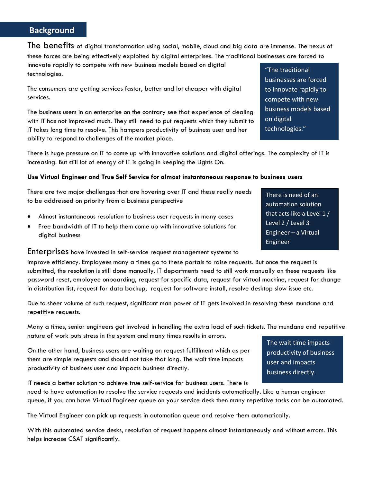#### **Background**

The benefits of digital transformation using social, mobile, cloud and big data are immense. The nexus of these forces are being effectively exploited by digital enterprises. The traditional businesses are forced to

innovate rapidly to compete with new business models based on digital technologies.

The consumers are getting services faster, better and lot cheaper with digital services.

The business users in an enterprise on the contrary see that experience of dealing with IT has not improved much. They still need to put requests which they submit to IT takes long time to resolve. This hampers productivity of business user and her ability to respond to challenges of the market place.

There is huge pressure on IT to come up with innovative solutions and digital offerings. The complexity of IT is increasing. But still lot of energy of IT is going in keeping the Lights On.

#### **Use Virtual Engineer and True Self Service for almost instantaneous response to business users**

There are two major challenges that are hovering over IT and these really needs to be addressed on priority from a business perspective

- Almost instantaneous resolution to business user requests in many cases
- Free bandwidth of IT to help them come up with innovative solutions for digital business

#### Enterprises have invested in self-service request management systems to

improve efficiency. Employees many a times go to these portals to raise requests. But once the request is submitted, the resolution is still done manually. IT departments need to still work manually on these requests like password reset, employee onboarding, request for specific data, request for virtual machine, request for change in distribution list, request for data backup, request for software install, resolve desktop slow issue etc.

Due to sheer volume of such request, significant man power of IT gets involved in resolving these mundane and repetitive requests.

Many a times, senior engineers get involved in handling the extra load of such tickets. The mundane and repetitive nature of work puts stress in the system and many times results in errors.

On the other hand, business users are waiting on request fulfillment which as per them are simple requests and should not take that long. The wait time impacts productivity of business user and impacts business directly.

IT needs a better solution to achieve true self-service for business users. There is need to have automation to resolve the service requests and incidents automatically. Like a human engineer queue, if you can have Virtual Engineer queue on your service desk then many repetitive tasks can be automated.

The Virtual Engineer can pick up requests in automation queue and resolve them automatically.

With this automated service desks, resolution of request happens almost instantaneously and without errors. This helps increase CSAT significantly.

#### "The traditional businesses are forced to innovate rapidly to compete with new business models based on digital technologies."

There is need of an automation solution that acts like a Level 1 / Level 2 / Level 3 Engineer – a Virtual Engineer

The wait time impacts productivity of business user and impacts business directly.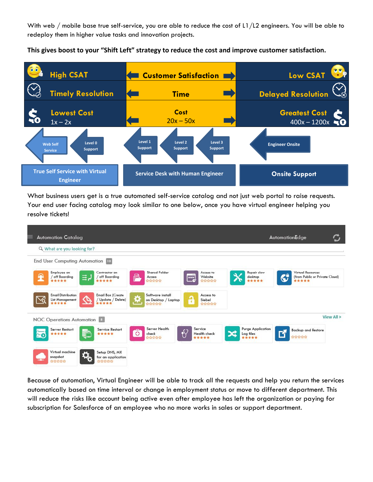With web / mobile base true self-service, you are able to reduce the cost of L1/L2 engineers. You will be able to redeploy them in higher value tasks and innovation projects.

**This gives boost to your "Shift Left" strategy to reduce the cost and improve customer satisfaction.**



What business users get is a true automated self-service catalog and not just web portal to raise requests. Your end user facing catalog may look similar to one below, once you have virtual engineer helping you resolve tickets!

| Q What are you looking for?                                |                                                |                                                       |                                             |                                                |                                                                   |
|------------------------------------------------------------|------------------------------------------------|-------------------------------------------------------|---------------------------------------------|------------------------------------------------|-------------------------------------------------------------------|
| End User Computing Automation 10                           |                                                |                                                       |                                             |                                                |                                                                   |
| Employee on<br>off Boarding<br>*****                       | Contractor on<br>off Boarding<br>*****         | Shared Folder<br>e<br>Access<br>☆☆☆☆☆                 | Access to<br>www<br>Website<br>☞<br>******* | Repair slow<br>desktop<br>*****                | Virtual Resources<br>C<br>(from Public or Private Cloud)<br>***** |
| <b>Email Distribution</b><br>℅<br>List Management<br>***** | Email Box (Create<br>Update / Delete)<br>***** | Software install<br>۰<br>on Desktop / Laptop<br>☆☆☆☆☆ | Access to<br>ę<br>Siebel<br>******          |                                                |                                                                   |
| NOC Operations Automation                                  |                                                |                                                       |                                             |                                                | View All >                                                        |
| <b>Server Restart</b><br>*****<br>$E_0$                    | <b>Service Restart</b><br>¢<br>*****           | Server Health<br>O<br>check<br><b>Andrin Andr</b>     | Service<br>Health check<br>*****            | <b>Purge Application</b><br>Log files<br>***** | <b>Backup and Restore</b><br>合立立合合                                |
| Virtual machine<br>snapshot                                | Setup DNS, MX<br>for an application            |                                                       |                                             |                                                |                                                                   |

Because of automation, Virtual Engineer will be able to track all the requests and help you return the services automatically based on time interval or change in employment status or move to different department. This will reduce the risks like account being active even after employee has left the organization or paying for subscription for Salesforce of an employee who no more works in sales or support department.